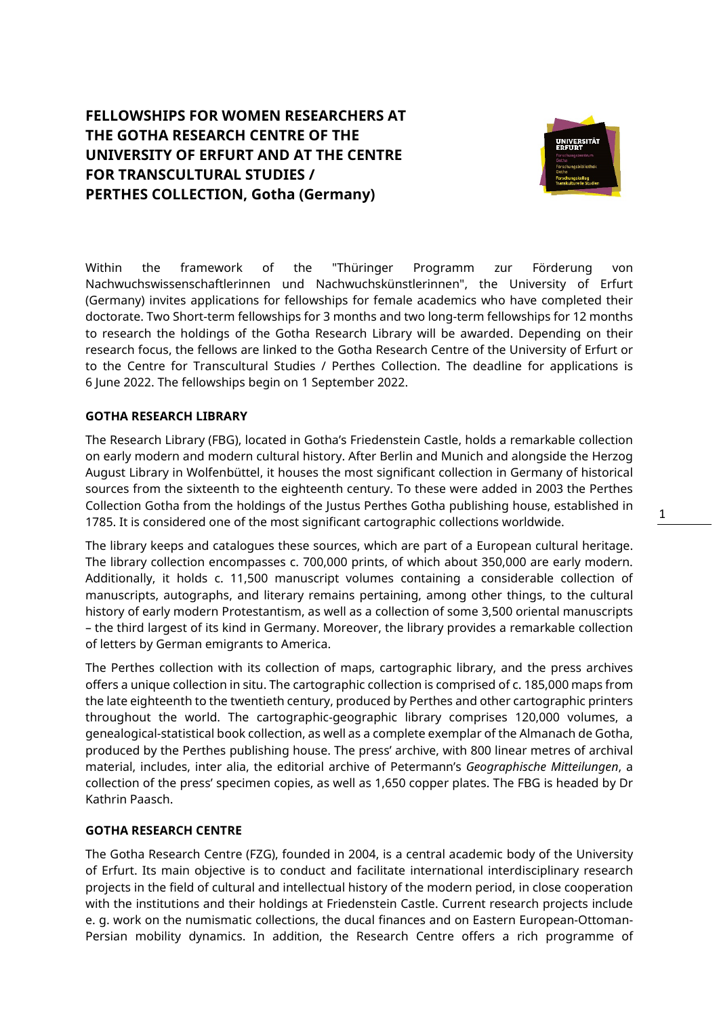# **FELLOWSHIPS FOR WOMEN RESEARCHERS AT THE GOTHA RESEARCH CENTRE OF THE UNIVERSITY OF ERFURT AND AT THE CENTRE FOR TRANSCULTURAL STUDIES / PERTHES COLLECTION, Gotha (Germany)**



Within the framework of the "Thüringer Programm zur Förderung von Nachwuchswissenschaftlerinnen und Nachwuchskünstlerinnen", the University of Erfurt (Germany) invites applications for fellowships for female academics who have completed their doctorate. Two Short-term fellowships for 3 months and two long-term fellowships for 12 months to research the holdings of the Gotha Research Library will be awarded. Depending on their research focus, the fellows are linked to the Gotha Research Centre of the University of Erfurt or to the Centre for Transcultural Studies / Perthes Collection. The deadline for applications is 6 June 2022. The fellowships begin on 1 September 2022.

## **GOTHA RESEARCH LIBRARY**

The Research Library (FBG), located in Gotha's Friedenstein Castle, holds a remarkable collection on early modern and modern cultural history. After Berlin and Munich and alongside the Herzog August Library in Wolfenbüttel, it houses the most significant collection in Germany of historical sources from the sixteenth to the eighteenth century. To these were added in 2003 the Perthes Collection Gotha from the holdings of the Justus Perthes Gotha publishing house, established in 1785. It is considered one of the most significant cartographic collections worldwide.

The library keeps and catalogues these sources, which are part of a European cultural heritage. The library collection encompasses c. 700,000 prints, of which about 350,000 are early modern. Additionally, it holds c. 11,500 manuscript volumes containing a considerable collection of manuscripts, autographs, and literary remains pertaining, among other things, to the cultural history of early modern Protestantism, as well as a collection of some 3,500 oriental manuscripts – the third largest of its kind in Germany. Moreover, the library provides a remarkable collection of letters by German emigrants to America.

The Perthes collection with its collection of maps, cartographic library, and the press archives offers a unique collection in situ. The cartographic collection is comprised of c. 185,000 maps from the late eighteenth to the twentieth century, produced by Perthes and other cartographic printers throughout the world. The cartographic-geographic library comprises 120,000 volumes, a genealogical-statistical book collection, as well as a complete exemplar of the Almanach de Gotha, produced by the Perthes publishing house. The press' archive, with 800 linear metres of archival material, includes, inter alia, the editorial archive of Petermann's *Geographische Mitteilungen*, a collection of the press' specimen copies, as well as 1,650 copper plates. The FBG is headed by Dr Kathrin Paasch.

#### **GOTHA RESEARCH CENTRE**

The Gotha Research Centre (FZG), founded in 2004, is a central academic body of the University of Erfurt. Its main objective is to conduct and facilitate international interdisciplinary research projects in the field of cultural and intellectual history of the modern period, in close cooperation with the institutions and their holdings at Friedenstein Castle. Current research projects include e. g. work on the numismatic collections, the ducal finances and on Eastern European-Ottoman-Persian mobility dynamics. In addition, the Research Centre offers a rich programme of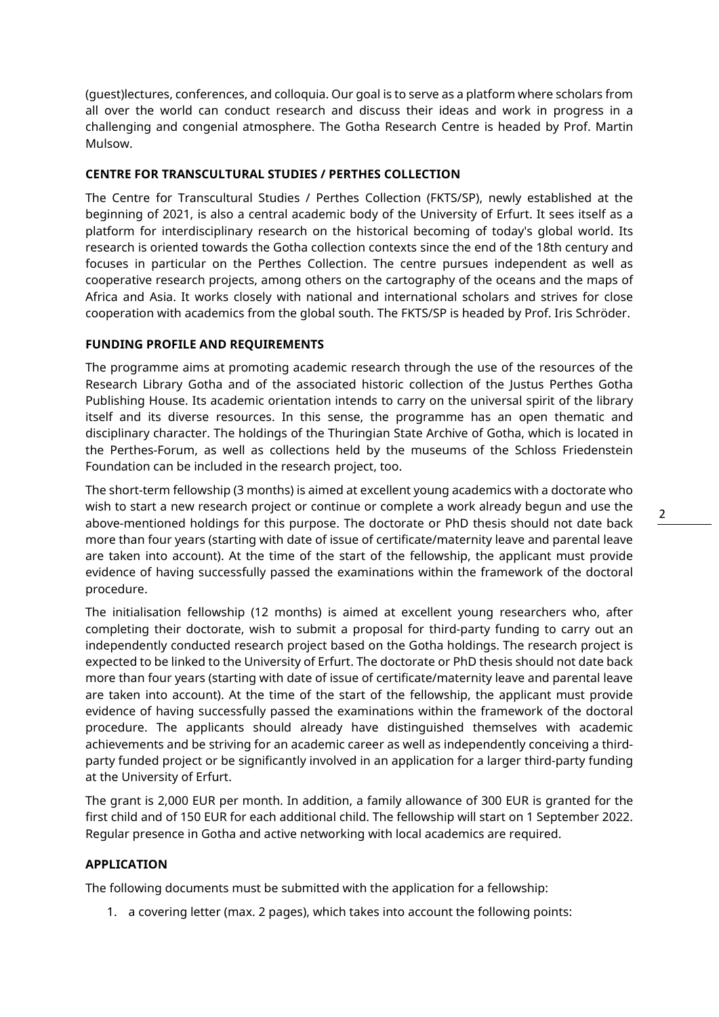(guest)lectures, conferences, and colloquia. Our goal is to serve as a platform where scholars from all over the world can conduct research and discuss their ideas and work in progress in a challenging and congenial atmosphere. The Gotha Research Centre is headed by Prof. Martin Mulsow.

## **CENTRE FOR TRANSCULTURAL STUDIES / PERTHES COLLECTION**

The Centre for Transcultural Studies / Perthes Collection (FKTS/SP), newly established at the beginning of 2021, is also a central academic body of the University of Erfurt. It sees itself as a platform for interdisciplinary research on the historical becoming of today's global world. Its research is oriented towards the Gotha collection contexts since the end of the 18th century and focuses in particular on the Perthes Collection. The centre pursues independent as well as cooperative research projects, among others on the cartography of the oceans and the maps of Africa and Asia. It works closely with national and international scholars and strives for close cooperation with academics from the global south. The FKTS/SP is headed by Prof. Iris Schröder.

## **FUNDING PROFILE AND REQUIREMENTS**

The programme aims at promoting academic research through the use of the resources of the Research Library Gotha and of the associated historic collection of the Justus Perthes Gotha Publishing House. Its academic orientation intends to carry on the universal spirit of the library itself and its diverse resources. In this sense, the programme has an open thematic and disciplinary character. The holdings of the Thuringian State Archive of Gotha, which is located in the Perthes-Forum, as well as collections held by the museums of the Schloss Friedenstein Foundation can be included in the research project, too.

The short-term fellowship (3 months) is aimed at excellent young academics with a doctorate who wish to start a new research project or continue or complete a work already begun and use the above-mentioned holdings for this purpose. The doctorate or PhD thesis should not date back more than four years (starting with date of issue of certificate/maternity leave and parental leave are taken into account). At the time of the start of the fellowship, the applicant must provide evidence of having successfully passed the examinations within the framework of the doctoral procedure.

The initialisation fellowship (12 months) is aimed at excellent young researchers who, after completing their doctorate, wish to submit a proposal for third-party funding to carry out an independently conducted research project based on the Gotha holdings. The research project is expected to be linked to the University of Erfurt. The doctorate or PhD thesis should not date back more than four years (starting with date of issue of certificate/maternity leave and parental leave are taken into account). At the time of the start of the fellowship, the applicant must provide evidence of having successfully passed the examinations within the framework of the doctoral procedure. The applicants should already have distinguished themselves with academic achievements and be striving for an academic career as well as independently conceiving a thirdparty funded project or be significantly involved in an application for a larger third-party funding at the University of Erfurt.

The grant is 2,000 EUR per month. In addition, a family allowance of 300 EUR is granted for the first child and of 150 EUR for each additional child. The fellowship will start on 1 September 2022. Regular presence in Gotha and active networking with local academics are required.

## **APPLICATION**

The following documents must be submitted with the application for a fellowship:

1. a covering letter (max. 2 pages), which takes into account the following points: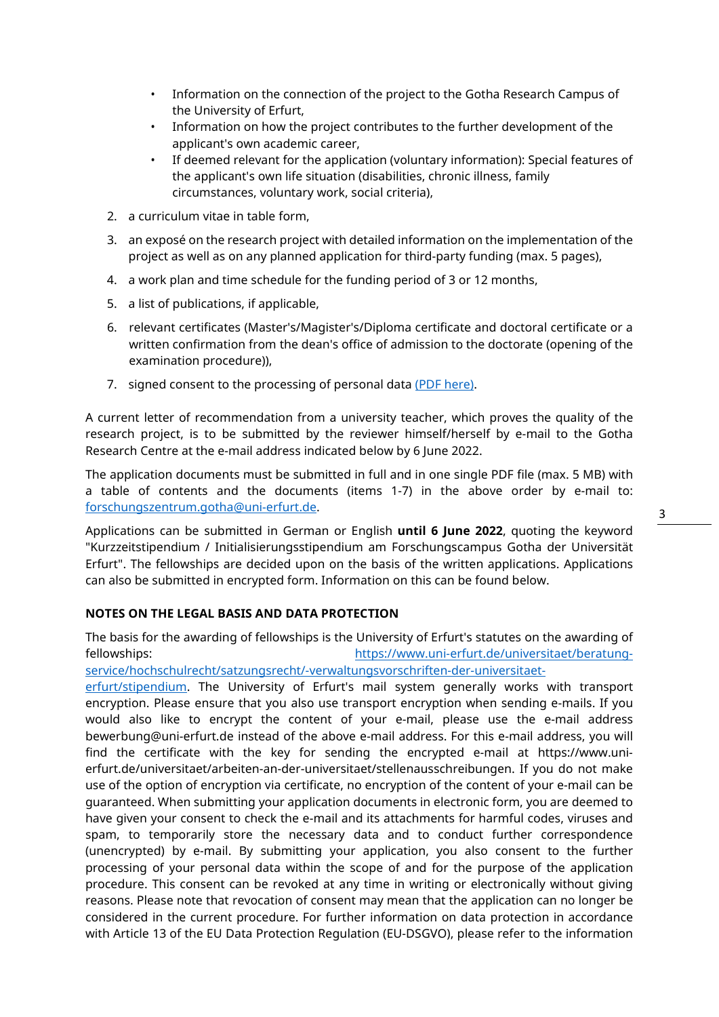- Information on the connection of the project to the Gotha Research Campus of the University of Erfurt,
- Information on how the project contributes to the further development of the applicant's own academic career,
- If deemed relevant for the application (voluntary information): Special features of the applicant's own life situation (disabilities, chronic illness, family circumstances, voluntary work, social criteria),
- 2. a curriculum vitae in table form,
- 3. an exposé on the research project with detailed information on the implementation of the project as well as on any planned application for third-party funding (max. 5 pages),
- 4. a work plan and time schedule for the funding period of 3 or 12 months,
- 5. a list of publications, if applicable,
- 6. relevant certificates (Master's/Magister's/Diploma certificate and doctoral certificate or a written confirmation from the dean's office of admission to the doctorate (opening of the examination procedure)),
- 7. signed consent to the processing of personal data [\(PDF here\).](https://www.uni-erfurt.de/fileadmin/einrichtung/forschungszentrum-gotha/Ausschreibungen/Einwilligung_Datenverarbeitung_Stipendien_FZG.pdf)

A current letter of recommendation from a university teacher, which proves the quality of the research project, is to be submitted by the reviewer himself/herself by e-mail to the Gotha Research Centre at the e-mail address indicated below by 6 June 2022.

The application documents must be submitted in full and in one single PDF file (max. 5 MB) with a table of contents and the documents (items 1-7) in the above order by e-mail to: [forschungszentrum.gotha@uni-erfurt.de.](mailto:forschungszentrum.gotha@uni-erfurt.de) 

Applications can be submitted in German or English **until 6 June 2022**, quoting the keyword "Kurzzeitstipendium / Initialisierungsstipendium am Forschungscampus Gotha der Universität Erfurt". The fellowships are decided upon on the basis of the written applications. Applications can also be submitted in encrypted form. Information on this can be found below.

#### **NOTES ON THE LEGAL BASIS AND DATA PROTECTION**

The basis for the awarding of fellowships is the University of Erfurt's statutes on the awarding of fellowships: [https://www.uni-erfurt.de/universitaet/beratung](https://www.uni-erfurt.de/universitaet/beratung-service/hochschulrecht/satzungsrecht/-verwaltungsvorschriften-der-universitaet-erfurt/stipendium)[service/hochschulrecht/satzungsrecht/-verwaltungsvorschriften-der-universitaet-](https://www.uni-erfurt.de/universitaet/beratung-service/hochschulrecht/satzungsrecht/-verwaltungsvorschriften-der-universitaet-erfurt/stipendium)

[erfurt/stipendium.](https://www.uni-erfurt.de/universitaet/beratung-service/hochschulrecht/satzungsrecht/-verwaltungsvorschriften-der-universitaet-erfurt/stipendium) The University of Erfurt's mail system generally works with transport encryption. Please ensure that you also use transport encryption when sending e-mails. If you would also like to encrypt the content of your e-mail, please use the e-mail address bewerbung@uni-erfurt.de instead of the above e-mail address. For this e-mail address, you will find the certificate with the key for sending the encrypted e-mail at https://www.unierfurt.de/universitaet/arbeiten-an-der-universitaet/stellenausschreibungen. If you do not make use of the option of encryption via certificate, no encryption of the content of your e-mail can be guaranteed. When submitting your application documents in electronic form, you are deemed to have given your consent to check the e-mail and its attachments for harmful codes, viruses and spam, to temporarily store the necessary data and to conduct further correspondence (unencrypted) by e-mail. By submitting your application, you also consent to the further processing of your personal data within the scope of and for the purpose of the application procedure. This consent can be revoked at any time in writing or electronically without giving reasons. Please note that revocation of consent may mean that the application can no longer be considered in the current procedure. For further information on data protection in accordance with Article 13 of the EU Data Protection Regulation (EU-DSGVO), please refer to the information